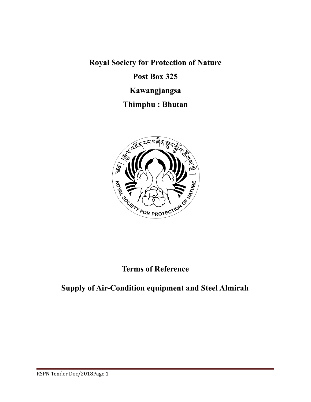**Royal Society for Protection of Nature**

## **Post Box 325**

## **Kawangjangsa**

## **Thimphu : Bhutan**



## **Terms of Reference**

# **Supply of Air-Condition equipment and Steel Almirah**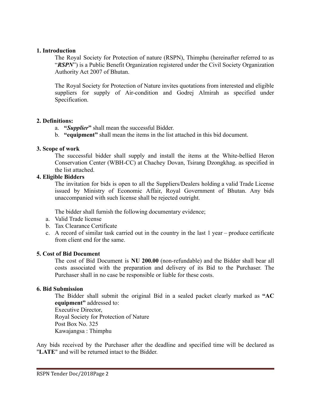#### **1. Introduction**

The Royal Society for Protection of nature (RSPN), Thimphu (hereinafter referred to as "*RSPN*") is a Public Benefit Organization registered under the Civil Society Organization Authority Act 2007 of Bhutan.

The Royal Society for Protection of Nature invites quotations from interested and eligible suppliers for supply of Air-condition and Godrej Almirah as specified under Specification.

#### **2. Definitions:**

- a. **"***Supplier***"** shall mean the successful Bidder.
- b. **"equipment"** shall mean the items in the list attached in this bid document.

### **3. Scope of work**

The successful bidder shall supply and install the items at the White-bellied Heron Conservation Center (WBH-CC) at Chachey Dovan, Tsirang Dzongkhag. as specified in the list attached.

## **4. Eligible Bidders**

The invitation for bids is open to all the Suppliers/Dealers holding a valid Trade License issued by Ministry of Economic Affair, Royal Government of Bhutan. Any bids unaccompanied with such license shall be rejected outright.

The bidder shall furnish the following documentary evidence;

- a. Valid Trade license
- b. Tax Clearance Certificate
- c. A record of similar task carried out in the country in the last 1 year produce certificate from client end for the same.

## **5. Cost of Bid Document**

The cost of Bid Document is **NU 200.00** (non-refundable) and the Bidder shall bear all costs associated with the preparation and delivery of its Bid to the Purchaser. The Purchaser shall in no case be responsible or liable for these costs.

### **6. Bid Submission**

The Bidder shall submit the original Bid in a sealed packet clearly marked as **"AC equipment"** addressed to: Executive Director, Royal Society for Protection of Nature Post Box No. 325 Kawajangsa : Thimphu

Any bids received by the Purchaser after the deadline and specified time will be declared as "**LATE**" and will be returned intact to the Bidder.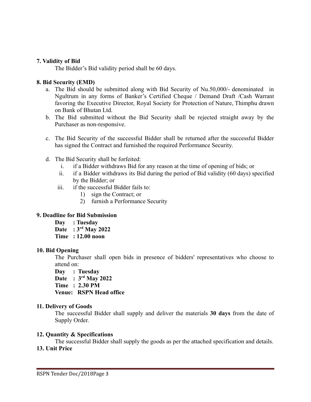#### **7. Validity of Bid**

The Bidder's Bid validity period shall be 60 days.

#### **8. Bid Security (EMD)**

- a. The Bid should be submitted along with Bid Security of Nu.50,000/- denominated in Ngultrum in any forms of Banker's Certified Cheque / Demand Draft /Cash Warrant favoring the Executive Director, Royal Society for Protection of Nature, Thimphu drawn on Bank of Bhutan Ltd.
- b. The Bid submitted without the Bid Security shall be rejected straight away by the Purchaser as non-responsive.
- c. The Bid Security of the successful Bidder shall be returned after the successful Bidder has signed the Contract and furnished the required Performance Security.
- d. The Bid Security shall be forfeited:
	- i. if a Bidder withdraws Bid for any reason at the time of opening of bids; or
	- ii. if a Bidder withdraws its Bid during the period of Bid validity (60 days) specified by the Bidder; or
	- iii. if the successful Bidder fails to:
		- 1) sign the Contract; or
		- 2) furnish a Performance Security

### **9. Deadline for Bid Submission**

- **Day : Tuesday**
- **Date : 3rd May 2022**
- **Time : 12.00 noon**

#### **10. Bid Opening**

The Purchaser shall open bids in presence of bidders' representatives who choose to attend on:

**Day : Tuesday**

- **Date : 3rd May 2022**
- **Time : 2.30 PM**

**Venue: RSPN Head office**

#### **11. Delivery of Goods**

The successful Bidder shall supply and deliver the materials **30 days** from the date of Supply Order.

#### **12. Quantity & Specifications**

The successful Bidder shall supply the goods as per the attached specification and details. **13. Unit Price**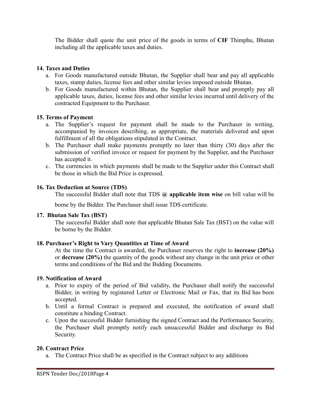The Bidder shall quote the unit price of the goods in terms of **CIF** Thimphu, Bhutan including all the applicable taxes and duties.

## **14. Taxes and Duties**

- a. For Goods manufactured outside Bhutan, the Supplier shall bear and pay all applicable taxes, stamp duties, license fees and other similar levies imposed outside Bhutan.
- b. For Goods manufactured within Bhutan, the Supplier shall bear and promptly pay all applicable taxes, duties, license fees and other similar levies incurred until delivery of the contracted Equipment to the Purchaser.

## **15. Terms of Payment**

- a. The Supplier's request for payment shall be made to the Purchaser in writing, accompanied by invoices describing, as appropriate, the materials delivered and upon fulfillment of all the obligations stipulated in the Contract.
- b. The Purchaser shall make payments promptly no later than thirty (30) days after the submission of verified invoice or request for payment by the Supplier, and the Purchaser has accepted it.
- c. The currencies in which payments shall be made to the Supplier under this Contract shall be those in which the Bid Price is expressed.

## **16. Tax Deduction at Source (TDS)**

The successful Bidder shall note that TDS **@ applicable item wise** on bill value will be

borne by the Bidder. The Purchaser shall issue TDS certificate.

### **17. Bhutan Sale Tax (BST)**

The successful Bidder shall note that applicable Bhutan Sale Tax (BST) on the value will be borne by the Bidder.

### **18. Purchaser's Right to Vary Quantities at Time of Award**

At the time the Contract is awarded, the Purchaser reserves the right to **increase (20%)** or **decrease (20%)** the quantity of the goods without any change in the unit price or other terms and conditions of the Bid and the Bidding Documents.

### **19. Notification of Award**

- a. Prior to expiry of the period of Bid validity, the Purchaser shall notify the successful Bidder, in writing by registered Letter or Electronic Mail or Fax, that its Bid has been accepted.
- b. Until a formal Contract is prepared and executed, the notification of award shall constitute a binding Contract.
- c. Upon the successful Bidder furnishing the signed Contract and the Performance Security, the Purchaser shall promptly notify each unsuccessful Bidder and discharge its Bid Security.

### **20. Contract Price**

a. The Contract Price shall be as specified in the Contract subject to any additions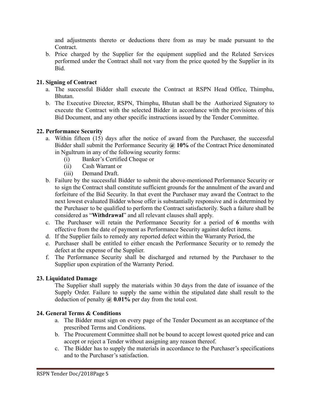and adjustments thereto or deductions there from as may be made pursuant to the Contract.

b. Price charged by the Supplier for the equipment supplied and the Related Services performed under the Contract shall not vary from the price quoted by the Supplier in its Bid.

## **21. Signing of Contract**

- a. The successful Bidder shall execute the Contract at RSPN Head Office, Thimphu, Bhutan.
- b. The Executive Director, RSPN, Thimphu, Bhutan shall be the Authorized Signatory to execute the Contract with the selected Bidder in accordance with the provisions of this Bid Document, and any other specific instructions issued by the Tender Committee.

## **22. Performance Security**

- a. Within fifteen (15) days after the notice of award from the Purchaser, the successful Bidder shall submit the Performance Security **@ 10%** of the Contract Price denominated in Ngultrum in any of the following security forms:
	- (i) Banker's Certified Cheque or
	- (ii) Cash Warrant or
	- (iii) Demand Draft.
- b. Failure by the successful Bidder to submit the above-mentioned Performance Security or to sign the Contract shall constitute sufficient grounds for the annulment of the award and forfeiture of the Bid Security. In that event the Purchaser may award the Contract to the next lowest evaluated Bidder whose offer is substantially responsive and is determined by the Purchaser to be qualified to perform the Contract satisfactorily. Such a failure shall be considered as "**Withdrawal**" and all relevant clauses shall apply.
- c. The Purchaser will retain the Performance Security for a period of **6** months with effective from the date of payment as Performance Security against defect items.
- d. If the Supplier fails to remedy any reported defect within the Warranty Period, the
- e. Purchaser shall be entitled to either encash the Performance Security or to remedy the defect at the expense of the Supplier.
- f. The Performance Security shall be discharged and returned by the Purchaser to the Supplier upon expiration of the Warranty Period.

## **23. Liquidated Damage**

The Supplier shall supply the materials within 30 days from the date of issuance of the Supply Order. Failure to supply the same within the stipulated date shall result to the deduction of penalty **@ 0.01%** per day from the total cost.

## **24. General Terms & Conditions**

- a. The Bidder must sign on every page of the Tender Document as an acceptance of the prescribed Terms and Conditions.
- b. The Procurement Committee shall not be bound to accept lowest quoted price and can accept or reject a Tender without assigning any reason thereof.
- c. The Bidder has to supply the materials in accordance to the Purchaser's specifications and to the Purchaser's satisfaction.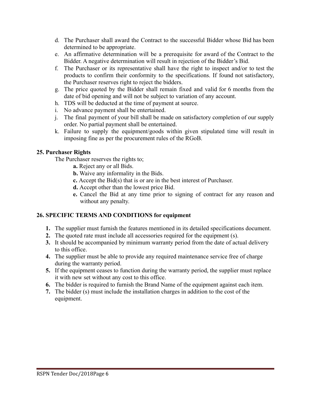- d. The Purchaser shall award the Contract to the successful Bidder whose Bid has been determined to be appropriate.
- e. An affirmative determination will be a prerequisite for award of the Contract to the Bidder. A negative determination will result in rejection of the Bidder's Bid.
- f. The Purchaser or its representative shall have the right to inspect and/or to test the products to confirm their conformity to the specifications. If found not satisfactory, the Purchaser reserves right to reject the bidders.
- g. The price quoted by the Bidder shall remain fixed and valid for 6 months from the date of bid opening and will not be subject to variation of any account.
- h. TDS will be deducted at the time of payment at source.
- i. No advance payment shall be entertained.
- j. The final payment of your bill shall be made on satisfactory completion of our supply order. No partial payment shall be entertained.
- k. Failure to supply the equipment/goods within given stipulated time will result in imposing fine as per the procurement rules of the RGoB.

## **25. Purchaser Rights**

The Purchaser reserves the rights to;

- **a.** Reject any or all Bids.
- **b.** Waive any informality in the Bids.
- **c.** Accept the Bid(s) that is or are in the best interest of Purchaser.
- **d.** Accept other than the lowest price Bid.
- **e.** Cancel the Bid at any time prior to signing of contract for any reason and without any penalty.

## **26. SPECIFIC TERMS AND CONDITIONS for equipment**

- **1.** The supplier must furnish the features mentioned in its detailed specifications document.
- **2.** The quoted rate must include all accessories required for the equipment (s).
- **3.** It should be accompanied by minimum warranty period from the date of actual delivery to this office.
- **4.** The supplier must be able to provide any required maintenance service free of charge during the warranty period.
- **5.** If the equipment ceases to function during the warranty period, the supplier must replace it with new set without any cost to this office.
- **6.** The bidder is required to furnish the Brand Name of the equipment against each item.
- **7.** The bidder (s) must include the installation charges in addition to the cost of the equipment.